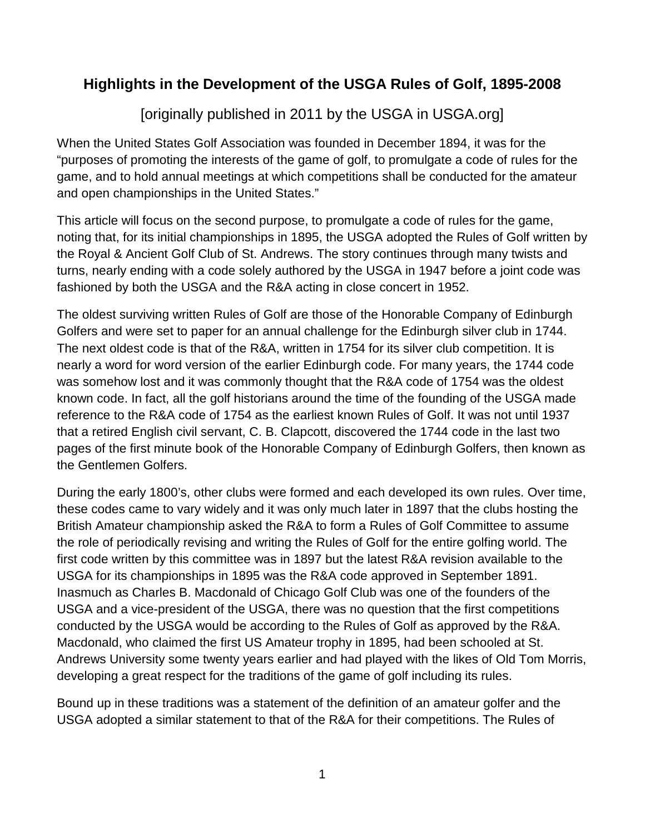## **Highlights in the Development of the USGA Rules of Golf, 1895-2008**

[originally published in 2011 by the USGA in USGA.org]

When the United States Golf Association was founded in December 1894, it was for the "purposes of promoting the interests of the game of golf, to promulgate a code of rules for the game, and to hold annual meetings at which competitions shall be conducted for the amateur and open championships in the United States."

This article will focus on the second purpose, to promulgate a code of rules for the game, noting that, for its initial championships in 1895, the USGA adopted the Rules of Golf written by the Royal & Ancient Golf Club of St. Andrews. The story continues through many twists and turns, nearly ending with a code solely authored by the USGA in 1947 before a joint code was fashioned by both the USGA and the R&A acting in close concert in 1952.

The oldest surviving written Rules of Golf are those of the Honorable Company of Edinburgh Golfers and were set to paper for an annual challenge for the Edinburgh silver club in 1744. The next oldest code is that of the R&A, written in 1754 for its silver club competition. It is nearly a word for word version of the earlier Edinburgh code. For many years, the 1744 code was somehow lost and it was commonly thought that the R&A code of 1754 was the oldest known code. In fact, all the golf historians around the time of the founding of the USGA made reference to the R&A code of 1754 as the earliest known Rules of Golf. It was not until 1937 that a retired English civil servant, C. B. Clapcott, discovered the 1744 code in the last two pages of the first minute book of the Honorable Company of Edinburgh Golfers, then known as the Gentlemen Golfers.

During the early 1800's, other clubs were formed and each developed its own rules. Over time, these codes came to vary widely and it was only much later in 1897 that the clubs hosting the British Amateur championship asked the R&A to form a Rules of Golf Committee to assume the role of periodically revising and writing the Rules of Golf for the entire golfing world. The first code written by this committee was in 1897 but the latest R&A revision available to the USGA for its championships in 1895 was the R&A code approved in September 1891. Inasmuch as Charles B. Macdonald of Chicago Golf Club was one of the founders of the USGA and a vice-president of the USGA, there was no question that the first competitions conducted by the USGA would be according to the Rules of Golf as approved by the R&A. Macdonald, who claimed the first US Amateur trophy in 1895, had been schooled at St. Andrews University some twenty years earlier and had played with the likes of Old Tom Morris, developing a great respect for the traditions of the game of golf including its rules.

Bound up in these traditions was a statement of the definition of an amateur golfer and the USGA adopted a similar statement to that of the R&A for their competitions. The Rules of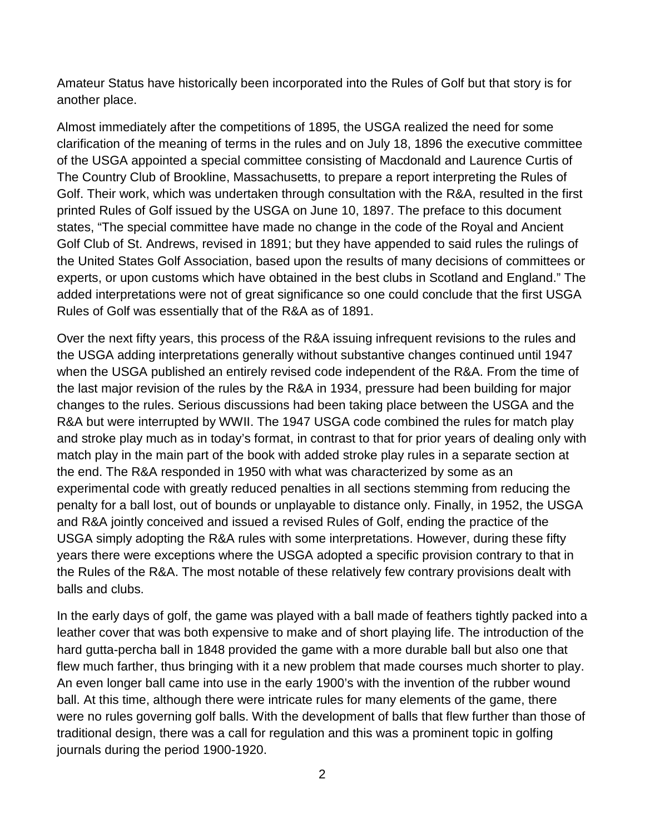Amateur Status have historically been incorporated into the Rules of Golf but that story is for another place.

Almost immediately after the competitions of 1895, the USGA realized the need for some clarification of the meaning of terms in the rules and on July 18, 1896 the executive committee of the USGA appointed a special committee consisting of Macdonald and Laurence Curtis of The Country Club of Brookline, Massachusetts, to prepare a report interpreting the Rules of Golf. Their work, which was undertaken through consultation with the R&A, resulted in the first printed Rules of Golf issued by the USGA on June 10, 1897. The preface to this document states, "The special committee have made no change in the code of the Royal and Ancient Golf Club of St. Andrews, revised in 1891; but they have appended to said rules the rulings of the United States Golf Association, based upon the results of many decisions of committees or experts, or upon customs which have obtained in the best clubs in Scotland and England." The added interpretations were not of great significance so one could conclude that the first USGA Rules of Golf was essentially that of the R&A as of 1891.

Over the next fifty years, this process of the R&A issuing infrequent revisions to the rules and the USGA adding interpretations generally without substantive changes continued until 1947 when the USGA published an entirely revised code independent of the R&A. From the time of the last major revision of the rules by the R&A in 1934, pressure had been building for major changes to the rules. Serious discussions had been taking place between the USGA and the R&A but were interrupted by WWII. The 1947 USGA code combined the rules for match play and stroke play much as in today's format, in contrast to that for prior years of dealing only with match play in the main part of the book with added stroke play rules in a separate section at the end. The R&A responded in 1950 with what was characterized by some as an experimental code with greatly reduced penalties in all sections stemming from reducing the penalty for a ball lost, out of bounds or unplayable to distance only. Finally, in 1952, the USGA and R&A jointly conceived and issued a revised Rules of Golf, ending the practice of the USGA simply adopting the R&A rules with some interpretations. However, during these fifty years there were exceptions where the USGA adopted a specific provision contrary to that in the Rules of the R&A. The most notable of these relatively few contrary provisions dealt with balls and clubs.

In the early days of golf, the game was played with a ball made of feathers tightly packed into a leather cover that was both expensive to make and of short playing life. The introduction of the hard gutta-percha ball in 1848 provided the game with a more durable ball but also one that flew much farther, thus bringing with it a new problem that made courses much shorter to play. An even longer ball came into use in the early 1900's with the invention of the rubber wound ball. At this time, although there were intricate rules for many elements of the game, there were no rules governing golf balls. With the development of balls that flew further than those of traditional design, there was a call for regulation and this was a prominent topic in golfing journals during the period 1900-1920.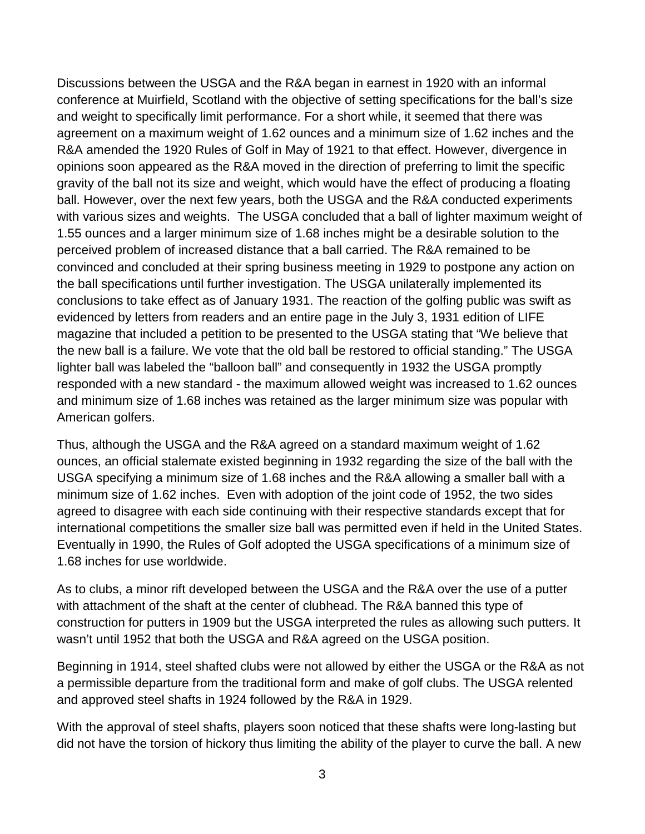Discussions between the USGA and the R&A began in earnest in 1920 with an informal conference at Muirfield, Scotland with the objective of setting specifications for the ball's size and weight to specifically limit performance. For a short while, it seemed that there was agreement on a maximum weight of 1.62 ounces and a minimum size of 1.62 inches and the R&A amended the 1920 Rules of Golf in May of 1921 to that effect. However, divergence in opinions soon appeared as the R&A moved in the direction of preferring to limit the specific gravity of the ball not its size and weight, which would have the effect of producing a floating ball. However, over the next few years, both the USGA and the R&A conducted experiments with various sizes and weights. The USGA concluded that a ball of lighter maximum weight of 1.55 ounces and a larger minimum size of 1.68 inches might be a desirable solution to the perceived problem of increased distance that a ball carried. The R&A remained to be convinced and concluded at their spring business meeting in 1929 to postpone any action on the ball specifications until further investigation. The USGA unilaterally implemented its conclusions to take effect as of January 1931. The reaction of the golfing public was swift as evidenced by letters from readers and an entire page in the July 3, 1931 edition of LIFE magazine that included a petition to be presented to the USGA stating that "We believe that the new ball is a failure. We vote that the old ball be restored to official standing." The USGA lighter ball was labeled the "balloon ball" and consequently in 1932 the USGA promptly responded with a new standard - the maximum allowed weight was increased to 1.62 ounces and minimum size of 1.68 inches was retained as the larger minimum size was popular with American golfers.

Thus, although the USGA and the R&A agreed on a standard maximum weight of 1.62 ounces, an official stalemate existed beginning in 1932 regarding the size of the ball with the USGA specifying a minimum size of 1.68 inches and the R&A allowing a smaller ball with a minimum size of 1.62 inches. Even with adoption of the joint code of 1952, the two sides agreed to disagree with each side continuing with their respective standards except that for international competitions the smaller size ball was permitted even if held in the United States. Eventually in 1990, the Rules of Golf adopted the USGA specifications of a minimum size of 1.68 inches for use worldwide.

As to clubs, a minor rift developed between the USGA and the R&A over the use of a putter with attachment of the shaft at the center of clubhead. The R&A banned this type of construction for putters in 1909 but the USGA interpreted the rules as allowing such putters. It wasn't until 1952 that both the USGA and R&A agreed on the USGA position.

Beginning in 1914, steel shafted clubs were not allowed by either the USGA or the R&A as not a permissible departure from the traditional form and make of golf clubs. The USGA relented and approved steel shafts in 1924 followed by the R&A in 1929.

With the approval of steel shafts, players soon noticed that these shafts were long-lasting but did not have the torsion of hickory thus limiting the ability of the player to curve the ball. A new